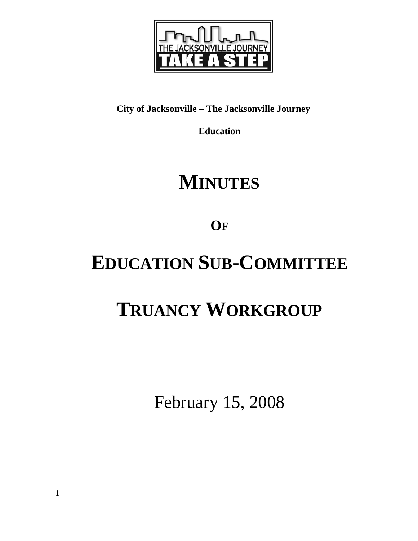

# **City of Jacksonville – The Jacksonville Journey**

**Education** 

# **MINUTES**

**OF**

# **EDUCATION SUB-COMMITTEE**

# **TRUANCY WORKGROUP**

February 15, 2008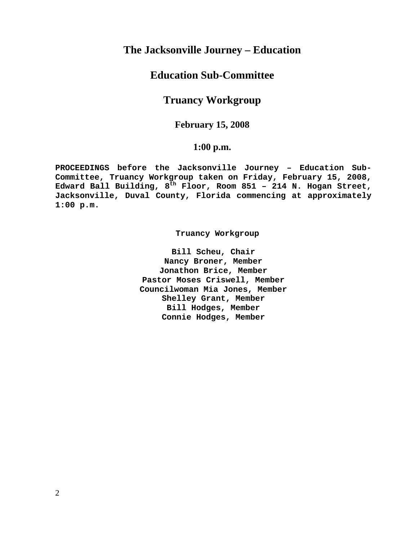# **The Jacksonville Journey – Education**

# **Education Sub-Committee**

# **Truancy Workgroup**

## **February 15, 2008**

## **1:00 p.m.**

**PROCEEDINGS before the Jacksonville Journey – Education Sub-Committee, Truancy Workgroup taken on Friday, February 15, 2008, Edward Ball Building, 8th Floor, Room 851 – 214 N. Hogan Street, Jacksonville, Duval County, Florida commencing at approximately 1:00 p.m.** 

 **Truancy Workgroup** 

**Bill Scheu, Chair Nancy Broner, Member Jonathon Brice, Member Pastor Moses Criswell, Member Councilwoman Mia Jones, Member Shelley Grant, Member Bill Hodges, Member Connie Hodges, Member**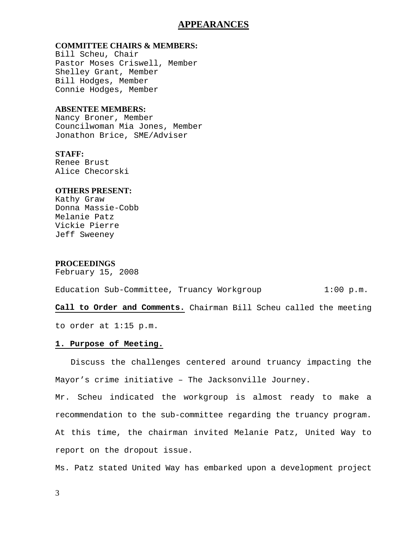## **APPEARANCES**

## **COMMITTEE CHAIRS & MEMBERS:**

Bill Scheu, Chair Pastor Moses Criswell, Member Shelley Grant, Member Bill Hodges, Member Connie Hodges, Member

### **ABSENTEE MEMBERS:**

Nancy Broner, Member Councilwoman Mia Jones, Member Jonathon Brice, SME/Adviser

## **STAFF:**

Renee Brust Alice Checorski

### **OTHERS PRESENT:**

Kathy Graw Donna Massie-Cobb Melanie Patz Vickie Pierre Jeff Sweeney

### **PROCEEDINGS**

February 15, 2008

| Education Sub-Committee, Truancy Workgroup |  | $1:00$ p.m. |
|--------------------------------------------|--|-------------|
|--------------------------------------------|--|-------------|

**Call to Order and Comments.** Chairman Bill Scheu called the meeting

to order at 1:15 p.m.

#### **1. Purpose of Meeting.**

 Discuss the challenges centered around truancy impacting the Mayor's crime initiative – The Jacksonville Journey.

Mr. Scheu indicated the workgroup is almost ready to make a recommendation to the sub-committee regarding the truancy program. At this time, the chairman invited Melanie Patz, United Way to report on the dropout issue.

Ms. Patz stated United Way has embarked upon a development project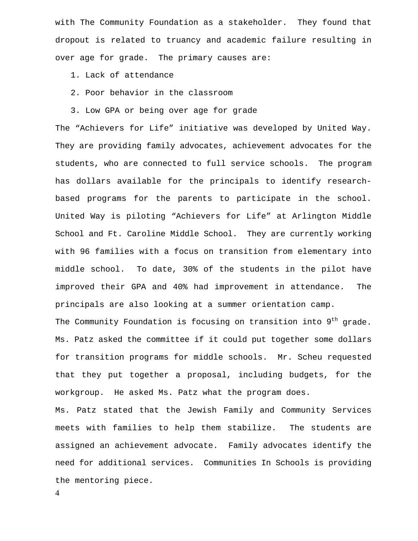with The Community Foundation as a stakeholder. They found that dropout is related to truancy and academic failure resulting in over age for grade. The primary causes are:

1. Lack of attendance

- 2. Poor behavior in the classroom
- 3. Low GPA or being over age for grade

The "Achievers for Life" initiative was developed by United Way. They are providing family advocates, achievement advocates for the students, who are connected to full service schools. The program has dollars available for the principals to identify researchbased programs for the parents to participate in the school. United Way is piloting "Achievers for Life" at Arlington Middle School and Ft. Caroline Middle School. They are currently working with 96 families with a focus on transition from elementary into middle school. To date, 30% of the students in the pilot have improved their GPA and 40% had improvement in attendance. The principals are also looking at a summer orientation camp.

The Community Foundation is focusing on transition into  $9<sup>th</sup>$  grade. Ms. Patz asked the committee if it could put together some dollars for transition programs for middle schools. Mr. Scheu requested that they put together a proposal, including budgets, for the workgroup. He asked Ms. Patz what the program does.

Ms. Patz stated that the Jewish Family and Community Services meets with families to help them stabilize. The students are assigned an achievement advocate. Family advocates identify the need for additional services. Communities In Schools is providing the mentoring piece.

4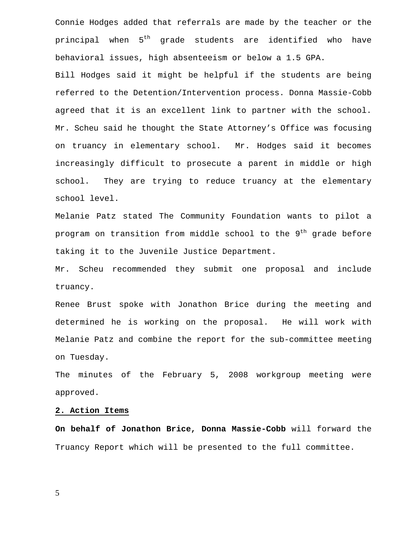Connie Hodges added that referrals are made by the teacher or the principal when 5<sup>th</sup> grade students are identified who have behavioral issues, high absenteeism or below a 1.5 GPA.

Bill Hodges said it might be helpful if the students are being referred to the Detention/Intervention process. Donna Massie-Cobb agreed that it is an excellent link to partner with the school. Mr. Scheu said he thought the State Attorney's Office was focusing on truancy in elementary school. Mr. Hodges said it becomes increasingly difficult to prosecute a parent in middle or high school. They are trying to reduce truancy at the elementary school level.

Melanie Patz stated The Community Foundation wants to pilot a program on transition from middle school to the  $9<sup>th</sup>$  grade before taking it to the Juvenile Justice Department.

Mr. Scheu recommended they submit one proposal and include truancy.

Renee Brust spoke with Jonathon Brice during the meeting and determined he is working on the proposal. He will work with Melanie Patz and combine the report for the sub-committee meeting on Tuesday.

The minutes of the February 5, 2008 workgroup meeting were approved.

#### **2. Action Items**

**On behalf of Jonathon Brice, Donna Massie-Cobb** will forward the Truancy Report which will be presented to the full committee.

5